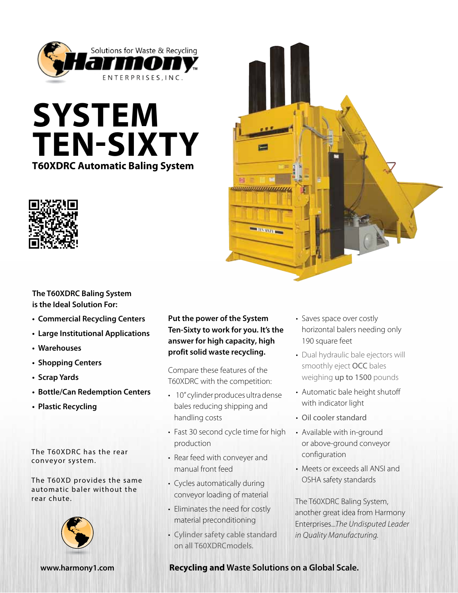

# **System Ten-Sixty T60XDRC Automatic Baling System**





# **The T60XDRC Baling System is the Ideal Solution For:**

- **• Commercial Recycling Centers**
- **• Large Institutional Applications**
- **• Warehouses**
- **• Shopping Centers**
- **• Scrap Yards**
- **• Bottle/Can Redemption Centers**
- **• Plastic Recycling**

The T60XDRC has the rear conveyor system.

The T60XD provides the same automatic baler without the rear chute.



## **Put the power of the System Ten-Sixty to work for you. It's the answer for high capacity, high profit solid waste recycling.**

Compare these features of the T60XDRC with the competition:

- 10" cylinder produces ultra dense bales reducing shipping and handling costs
- Fast 30 second cycle time for high production
- Rear feed with conveyer and manual front feed
- Cycles automatically during conveyor loading of material
- Eliminates the need for costly material preconditioning
- Cylinder safety cable standard on all T60XDRCmodels.
- Saves space over costly horizontal balers needing only 190 square feet
- Dual hydraulic bale ejectors will smoothly eject OCC bales weighing up to 1500 pounds
- Automatic bale height shutoff with indicator light
- Oil cooler standard
- Available with in-ground or above-ground conveyor configuration
- Meets or exceeds all ANSI and OSHA safety standards

The T60XDRC Baling System, another great idea from Harmony Enterprises...*The Undisputed Leader in Quality Manufacturing.*

### **www.harmony1.com Recycling and Waste Solutions on a Global Scale.**